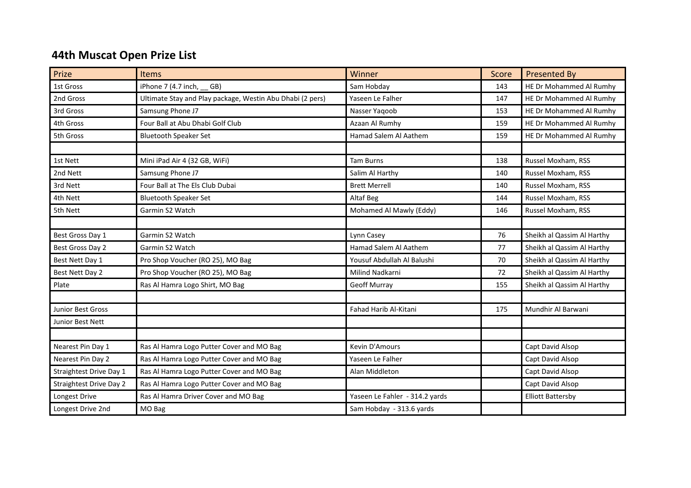## 44th Muscat Open Prize List

| Prize                          | Items                                                     | Winner                         | Score | <b>Presented By</b>        |
|--------------------------------|-----------------------------------------------------------|--------------------------------|-------|----------------------------|
| 1st Gross                      | iPhone 7 (4.7 inch, GB)                                   | Sam Hobday                     | 143   | HE Dr Mohammed Al Rumhy    |
| 2nd Gross                      | Ultimate Stay and Play package, Westin Abu Dhabi (2 pers) | Yaseen Le Falher               | 147   | HE Dr Mohammed Al Rumhy    |
| 3rd Gross                      | Samsung Phone J7                                          | Nasser Yaqoob                  | 153   | HE Dr Mohammed Al Rumhy    |
| 4th Gross                      | Four Ball at Abu Dhabi Golf Club                          | Azaan Al Rumhy                 | 159   | HE Dr Mohammed Al Rumhy    |
| 5th Gross                      | <b>Bluetooth Speaker Set</b>                              | Hamad Salem Al Aathem          | 159   | HE Dr Mohammed Al Rumhy    |
|                                |                                                           |                                |       |                            |
| 1st Nett                       | Mini iPad Air 4 (32 GB, WiFi)                             | <b>Tam Burns</b>               | 138   | Russel Moxham, RSS         |
| 2nd Nett                       | Samsung Phone J7                                          | Salim Al Harthy                | 140   | Russel Moxham, RSS         |
| 3rd Nett                       | Four Ball at The Els Club Dubai                           | <b>Brett Merrell</b>           | 140   | Russel Moxham, RSS         |
| 4th Nett                       | <b>Bluetooth Speaker Set</b>                              | Altaf Beg                      | 144   | Russel Moxham, RSS         |
| 5th Nett                       | Garmin S2 Watch                                           | Mohamed Al Mawly (Eddy)        | 146   | Russel Moxham, RSS         |
|                                |                                                           |                                |       |                            |
| Best Gross Day 1               | Garmin S2 Watch                                           | Lynn Casey                     | 76    | Sheikh al Qassim Al Harthy |
| Best Gross Day 2               | Garmin S2 Watch                                           | Hamad Salem Al Aathem          | 77    | Sheikh al Qassim Al Harthy |
| Best Nett Day 1                | Pro Shop Voucher (RO 25), MO Bag                          | Yousuf Abdullah Al Balushi     | 70    | Sheikh al Qassim Al Harthy |
| Best Nett Day 2                | Pro Shop Voucher (RO 25), MO Bag                          | Milind Nadkarni                | 72    | Sheikh al Qassim Al Harthy |
| Plate                          | Ras Al Hamra Logo Shirt, MO Bag                           | <b>Geoff Murray</b>            | 155   | Sheikh al Qassim Al Harthy |
|                                |                                                           |                                |       |                            |
| <b>Junior Best Gross</b>       |                                                           | Fahad Harib Al-Kitani          | 175   | Mundhir Al Barwani         |
| Junior Best Nett               |                                                           |                                |       |                            |
|                                |                                                           |                                |       |                            |
| Nearest Pin Day 1              | Ras Al Hamra Logo Putter Cover and MO Bag                 | Kevin D'Amours                 |       | Capt David Alsop           |
| Nearest Pin Day 2              | Ras Al Hamra Logo Putter Cover and MO Bag                 | Yaseen Le Falher               |       | Capt David Alsop           |
| Straightest Drive Day 1        | Ras Al Hamra Logo Putter Cover and MO Bag                 | Alan Middleton                 |       | Capt David Alsop           |
| <b>Straightest Drive Day 2</b> | Ras Al Hamra Logo Putter Cover and MO Bag                 |                                |       | Capt David Alsop           |
| Longest Drive                  | Ras Al Hamra Driver Cover and MO Bag                      | Yaseen Le Fahler - 314.2 yards |       | <b>Elliott Battersby</b>   |
| Longest Drive 2nd              | MO Bag                                                    | Sam Hobday - 313.6 yards       |       |                            |